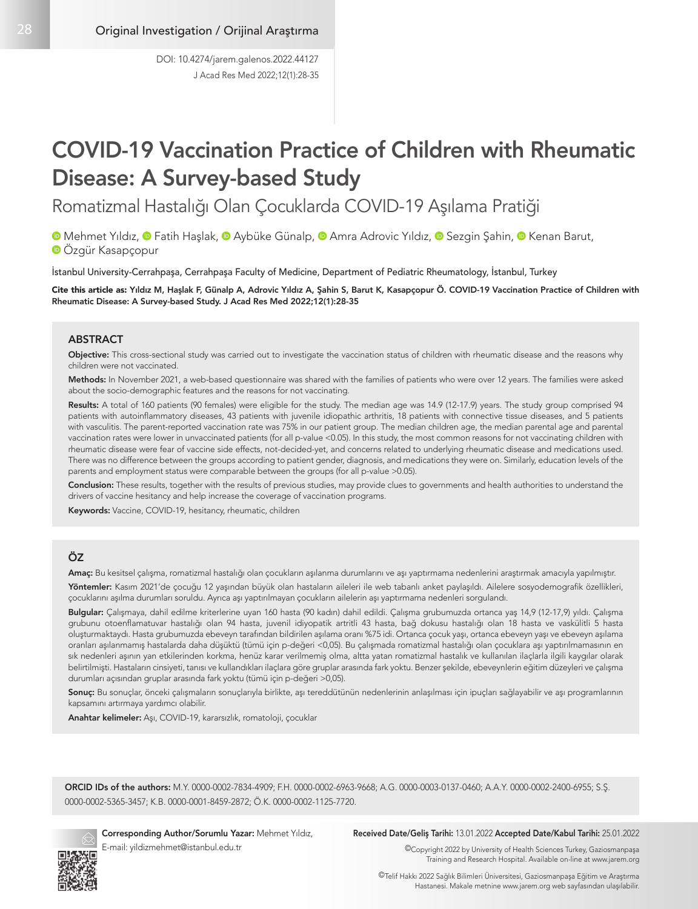# COVID-19 Vaccination Practice of Children with Rheumatic Disease: A Survey-based Study

Romatizmal Hastalığı Olan Çocuklarda COVID-19 Aşılama Pratiği

**MehmetYıldız, © Fatih Haşlak, © Aybüke Günalp, © Amra Adrovic Yıldız, © Sezgin Şahin, © Kenan Barut,** Özgür Kasapçopur

İstanbul University-Cerrahpaşa, Cerrahpaşa Faculty of Medicine, Department of Pediatric Rheumatology, İstanbul, Turkey

Cite this article as: Yıldız M, Haşlak F, Günalp A, Adrovic Yıldız A, Şahin S, Barut K, Kasapçopur Ö. COVID-19 Vaccination Practice of Children with Rheumatic Disease: A Survey-based Study. J Acad Res Med 2022;12(1):28-35

#### ABSTRACT

Objective: This cross-sectional study was carried out to investigate the vaccination status of children with rheumatic disease and the reasons why children were not vaccinated.

Methods: In November 2021, a web-based questionnaire was shared with the families of patients who were over 12 years. The families were asked about the socio-demographic features and the reasons for not vaccinating.

Results: A total of 160 patients (90 females) were eligible for the study. The median age was 14.9 (12-17.9) years. The study group comprised 94 patients with autoinflammatory diseases, 43 patients with juvenile idiopathic arthritis, 18 patients with connective tissue diseases, and 5 patients with vasculitis. The parent-reported vaccination rate was 75% in our patient group. The median children age, the median parental age and parental vaccination rates were lower in unvaccinated patients (for all p-value <0.05). In this study, the most common reasons for not vaccinating children with rheumatic disease were fear of vaccine side effects, not-decided-yet, and concerns related to underlying rheumatic disease and medications used. There was no difference between the groups according to patient gender, diagnosis, and medications they were on. Similarly, education levels of the parents and employment status were comparable between the groups (for all p-value >0.05).

Conclusion: These results, together with the results of previous studies, may provide clues to governments and health authorities to understand the drivers of vaccine hesitancy and help increase the coverage of vaccination programs.

Keywords: Vaccine, COVID-19, hesitancy, rheumatic, children

## ÖZ

Amaç: Bu kesitsel çalışma, romatizmal hastalığı olan çocukların aşılanma durumlarını ve aşı yaptırmama nedenlerini araştırmak amacıyla yapılmıştır.

Yöntemler: Kasım 2021'de çocuğu 12 yaşından büyük olan hastaların aileleri ile web tabanlı anket paylaşıldı. Ailelere sosyodemografik özellikleri, çocuklarını aşılma durumları soruldu. Ayrıca aşı yaptırılmayan çocukların ailelerin aşı yaptırmama nedenleri sorgulandı.

Bulgular: Çalışmaya, dahil edilme kriterlerine uyan 160 hasta (90 kadın) dahil edildi. Çalışma grubumuzda ortanca yaş 14,9 (12-17,9) yıldı. Çalışma grubunu otoenflamatuvar hastalığı olan 94 hasta, juvenil idiyopatik artritli 43 hasta, bağ dokusu hastalığı olan 18 hasta ve vaskülitli 5 hasta oluşturmaktaydı. Hasta grubumuzda ebeveyn tarafından bildirilen aşılama oranı %75 idi. Ortanca çocuk yaşı, ortanca ebeveyn yaşı ve ebeveyn aşılama oranları aşılanmamış hastalarda daha düşüktü (tümü için p-değeri <0,05). Bu çalışmada romatizmal hastalığı olan çocuklara aşı yaptırılmamasının en sık nedenleri aşının yan etkilerinden korkma, henüz karar verilmemiş olma, altta yatan romatizmal hastalık ve kullanılan ilaçlarla ilgili kaygılar olarak belirtilmişti. Hastaların cinsiyeti, tanısı ve kullandıkları ilaçlara göre gruplar arasında fark yoktu. Benzer şekilde, ebeveynlerin eğitim düzeyleri ve çalışma durumları açısından gruplar arasında fark yoktu (tümü için p-değeri >0,05).

Sonuç: Bu sonuçlar, önceki çalışmaların sonuçlarıyla birlikte, aşı tereddütünün nedenlerinin anlaşılması için ipuçları sağlayabilir ve aşı programlarının kapsamını artırmaya yardımcı olabilir.

Anahtar kelimeler: Aşı, COVID-19, kararsızlık, romatoloji, çocuklar

ORCID IDs of the authors: M.Y. 0000-0002-7834-4909; F.H. 0000-0002-6963-9668; A.G. 0000-0003-0137-0460; A.A.Y. 0000-0002-2400-6955; S.Ş. 0000-0002-5365-3457; K.B. 0000-0001-8459-2872; Ö.K. 0000-0002-1125-7720.



Corresponding Author/Sorumlu Yazar: Mehmet Yıldız, E-mail: yildizmehmet@istanbul.edu.tr

#### Received Date/Geliş Tarihi: 13.01.2022 Accepted Date/Kabul Tarihi: 25.01.2022

©Copyright 2022 by University of Health Sciences Turkey, Gaziosmanpaşa Training and Research Hospital. Available on-line at www.jarem.org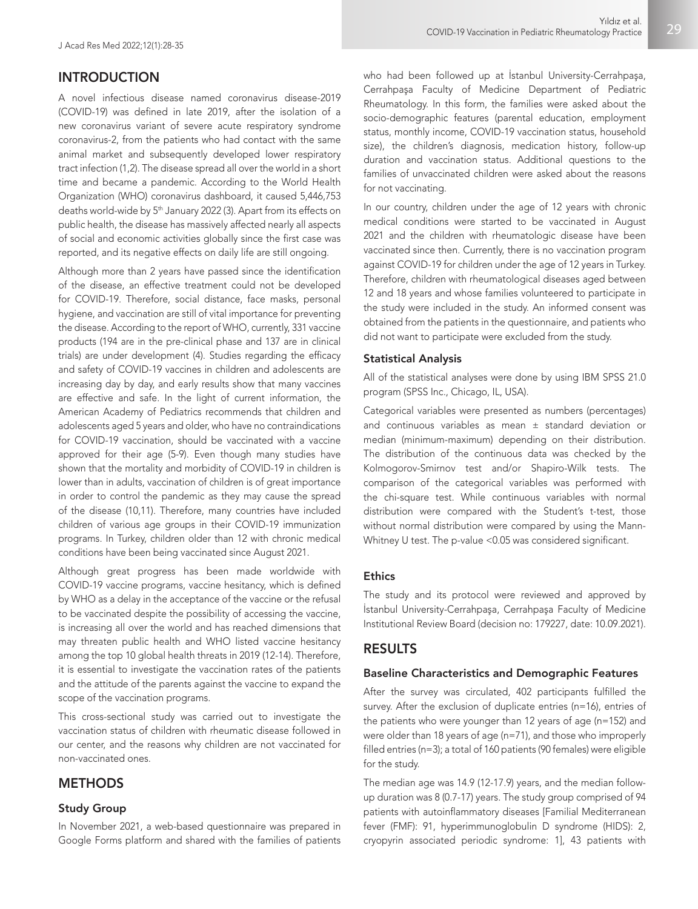## INTRODUCTION

A novel infectious disease named coronavirus disease-2019 (COVID-19) was defined in late 2019, after the isolation of a new coronavirus variant of severe acute respiratory syndrome coronavirus-2, from the patients who had contact with the same animal market and subsequently developed lower respiratory tract infection (1,2). The disease spread all over the world in a short time and became a pandemic. According to the World Health Organization (WHO) coronavirus dashboard, it caused 5,446,753 deaths world-wide by 5<sup>th</sup> January 2022 (3). Apart from its effects on public health, the disease has massively affected nearly all aspects of social and economic activities globally since the first case was reported, and its negative effects on daily life are still ongoing.

Although more than 2 years have passed since the identification of the disease, an effective treatment could not be developed for COVID-19. Therefore, social distance, face masks, personal hygiene, and vaccination are still of vital importance for preventing the disease. According to the report of WHO, currently, 331 vaccine products (194 are in the pre-clinical phase and 137 are in clinical trials) are under development (4). Studies regarding the efficacy and safety of COVID-19 vaccines in children and adolescents are increasing day by day, and early results show that many vaccines are effective and safe. In the light of current information, the American Academy of Pediatrics recommends that children and adolescents aged 5 years and older, who have no contraindications for COVID-19 vaccination, should be vaccinated with a vaccine approved for their age (5-9). Even though many studies have shown that the mortality and morbidity of COVID-19 in children is lower than in adults, vaccination of children is of great importance in order to control the pandemic as they may cause the spread of the disease (10,11). Therefore, many countries have included children of various age groups in their COVID-19 immunization programs. In Turkey, children older than 12 with chronic medical conditions have been being vaccinated since August 2021.

Although great progress has been made worldwide with COVID-19 vaccine programs, vaccine hesitancy, which is defined by WHO as a delay in the acceptance of the vaccine or the refusal to be vaccinated despite the possibility of accessing the vaccine, is increasing all over the world and has reached dimensions that may threaten public health and WHO listed vaccine hesitancy among the top 10 global health threats in 2019 (12-14). Therefore, it is essential to investigate the vaccination rates of the patients and the attitude of the parents against the vaccine to expand the scope of the vaccination programs.

This cross-sectional study was carried out to investigate the vaccination status of children with rheumatic disease followed in our center, and the reasons why children are not vaccinated for non-vaccinated ones.

## **METHODS**

#### Study Group

In November 2021, a web-based questionnaire was prepared in Google Forms platform and shared with the families of patients who had been followed up at İstanbul University-Cerrahpaşa, Cerrahpaşa Faculty of Medicine Department of Pediatric Rheumatology. In this form, the families were asked about the socio-demographic features (parental education, employment status, monthly income, COVID-19 vaccination status, household size), the children's diagnosis, medication history, follow-up duration and vaccination status. Additional questions to the families of unvaccinated children were asked about the reasons for not vaccinating.

In our country, children under the age of 12 years with chronic medical conditions were started to be vaccinated in August 2021 and the children with rheumatologic disease have been vaccinated since then. Currently, there is no vaccination program against COVID-19 for children under the age of 12 years in Turkey. Therefore, children with rheumatological diseases aged between 12 and 18 years and whose families volunteered to participate in the study were included in the study. An informed consent was obtained from the patients in the questionnaire, and patients who did not want to participate were excluded from the study.

### Statistical Analysis

All of the statistical analyses were done by using IBM SPSS 21.0 program (SPSS Inc., Chicago, IL, USA).

Categorical variables were presented as numbers (percentages) and continuous variables as mean ± standard deviation or median (minimum-maximum) depending on their distribution. The distribution of the continuous data was checked by the Kolmogorov-Smirnov test and/or Shapiro-Wilk tests. The comparison of the categorical variables was performed with the chi-square test. While continuous variables with normal distribution were compared with the Student's t-test, those without normal distribution were compared by using the Mann-Whitney U test. The p-value <0.05 was considered significant.

#### **Ethics**

The study and its protocol were reviewed and approved by İstanbul University-Cerrahpaşa, Cerrahpaşa Faculty of Medicine Institutional Review Board (decision no: 179227, date: 10.09.2021).

## RESULTS

#### Baseline Characteristics and Demographic Features

After the survey was circulated, 402 participants fulfilled the survey. After the exclusion of duplicate entries (n=16), entries of the patients who were younger than 12 years of age (n=152) and were older than 18 years of age (n=71), and those who improperly filled entries (n=3); a total of 160 patients (90 females) were eligible for the study.

The median age was 14.9 (12-17.9) years, and the median followup duration was 8 (0.7-17) years. The study group comprised of 94 patients with autoinflammatory diseases [Familial Mediterranean fever (FMF): 91, hyperimmunoglobulin D syndrome (HIDS): 2, cryopyrin associated periodic syndrome: 1], 43 patients with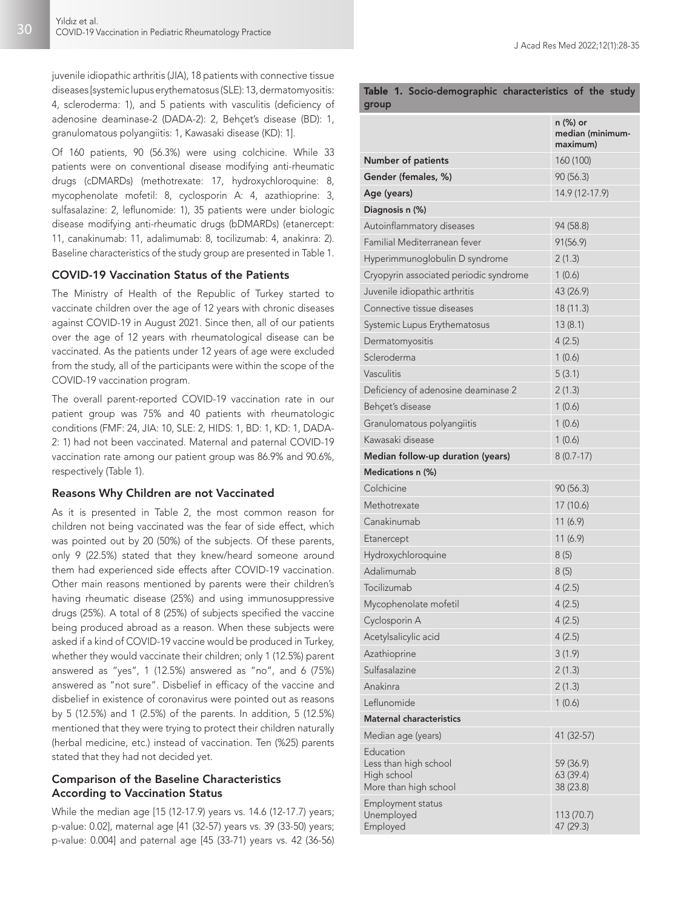juvenile idiopathic arthritis (JIA), 18 patients with connective tissue diseases [systemic lupus erythematosus (SLE): 13, dermatomyositis: 4, scleroderma: 1), and 5 patients with vasculitis (deficiency of adenosine deaminase-2 (DADA-2): 2, Behçet's disease (BD): 1, granulomatous polyangiitis: 1, Kawasaki disease (KD): 1].

Of 160 patients, 90 (56.3%) were using colchicine. While 33 patients were on conventional disease modifying anti-rheumatic drugs (cDMARDs) (methotrexate: 17, hydroxychloroquine: 8, mycophenolate mofetil: 8, cyclosporin A: 4, azathioprine: 3, sulfasalazine: 2, leflunomide: 1), 35 patients were under biologic disease modifying anti-rheumatic drugs (bDMARDs) (etanercept: 11, canakinumab: 11, adalimumab: 8, tocilizumab: 4, anakinra: 2). Baseline characteristics of the study group are presented in Table 1.

#### COVID-19 Vaccination Status of the Patients

The Ministry of Health of the Republic of Turkey started to vaccinate children over the age of 12 years with chronic diseases against COVID-19 in August 2021. Since then, all of our patients over the age of 12 years with rheumatological disease can be vaccinated. As the patients under 12 years of age were excluded from the study, all of the participants were within the scope of the COVID-19 vaccination program.

The overall parent-reported COVID-19 vaccination rate in our patient group was 75% and 40 patients with rheumatologic conditions (FMF: 24, JIA: 10, SLE: 2, HIDS: 1, BD: 1, KD: 1, DADA-2: 1) had not been vaccinated. Maternal and paternal COVID-19 vaccination rate among our patient group was 86.9% and 90.6%, respectively (Table 1).

#### Reasons Why Children are not Vaccinated

As it is presented in Table 2, the most common reason for children not being vaccinated was the fear of side effect, which was pointed out by 20 (50%) of the subjects. Of these parents, only 9 (22.5%) stated that they knew/heard someone around them had experienced side effects after COVID-19 vaccination. Other main reasons mentioned by parents were their children's having rheumatic disease (25%) and using immunosuppressive drugs (25%). A total of 8 (25%) of subjects specified the vaccine being produced abroad as a reason. When these subjects were asked if a kind of COVID-19 vaccine would be produced in Turkey, whether they would vaccinate their children; only 1 (12.5%) parent answered as "yes", 1 (12.5%) answered as "no", and 6 (75%) answered as "not sure". Disbelief in efficacy of the vaccine and disbelief in existence of coronavirus were pointed out as reasons by 5 (12.5%) and 1 (2.5%) of the parents. In addition, 5 (12.5%) mentioned that they were trying to protect their children naturally (herbal medicine, etc.) instead of vaccination. Ten (%25) parents stated that they had not decided yet.

## Comparison of the Baseline Characteristics According to Vaccination Status

While the median age [15 (12-17.9) years vs. 14.6 (12-17.7) years; p-value: 0.02], maternal age [41 (32-57) years vs. 39 (33-50) years; p-value: 0.004] and paternal age [45 (33-71) years vs. 42 (36-56)

|       | Table 1. Socio-demographic characteristics of the study |  |  |
|-------|---------------------------------------------------------|--|--|
| group |                                                         |  |  |

|                                                                            | n (%) or<br>median (minimum-<br>maximum) |
|----------------------------------------------------------------------------|------------------------------------------|
| <b>Number of patients</b>                                                  | 160 (100)                                |
| Gender (females, %)                                                        | 90(56.3)                                 |
| Age (years)                                                                | 14.9 (12-17.9)                           |
| Diagnosis n (%)                                                            |                                          |
| Autoinflammatory diseases                                                  | 94 (58.8)                                |
| Familial Mediterranean fever                                               | 91(56.9)                                 |
| Hyperimmunoglobulin D syndrome                                             | 2(1.3)                                   |
| Cryopyrin associated periodic syndrome                                     | 1(0.6)                                   |
| Juvenile idiopathic arthritis                                              | 43 (26.9)                                |
| Connective tissue diseases                                                 | 18 (11.3)                                |
| Systemic Lupus Erythematosus                                               | 13(8.1)                                  |
| Dermatomyositis                                                            | 4(2.5)                                   |
| Scleroderma                                                                | 1(0.6)                                   |
| Vasculitis                                                                 | 5(3.1)                                   |
| Deficiency of adenosine deaminase 2                                        | 2(1.3)                                   |
| Behçet's disease                                                           | 1(0.6)                                   |
| Granulomatous polyangiitis                                                 | 1(0.6)                                   |
| Kawasaki disease                                                           | 1(0.6)                                   |
| Median follow-up duration (years)                                          | $8(0.7-17)$                              |
| Medications n (%)                                                          |                                          |
| Colchicine                                                                 | 90 (56.3)                                |
| Methotrexate                                                               | 17 (10.6)                                |
| Canakinumab                                                                | 11(6.9)                                  |
| Etanercept                                                                 | 11(6.9)                                  |
| Hydroxychloroquine                                                         | 8(5)                                     |
| Adalimumab                                                                 | 8(5)                                     |
| Tocilizumab                                                                | 4(2.5)                                   |
| Mycophenolate mofetil                                                      | 4(2.5)                                   |
| Cyclosporin A                                                              | 4(2.5)                                   |
| Acetylsalicylic acid                                                       | 4(2.5)                                   |
| Azathioprine                                                               | 3(1.9)                                   |
| Sulfasalazine                                                              | 2(1.3)                                   |
| Anakinra                                                                   | 2(1.3)                                   |
| Leflunomide                                                                | 1(0.6)                                   |
| <b>Maternal characteristics</b>                                            |                                          |
| Median age (years)                                                         | 41 (32-57)                               |
| Education<br>Less than high school<br>High school<br>More than high school | 59 (36.9)<br>63 (39.4)<br>38 (23.8)      |
| Employment status<br>Unemployed<br>Employed                                | 113 (70.7)<br>47 (29.3)                  |
|                                                                            |                                          |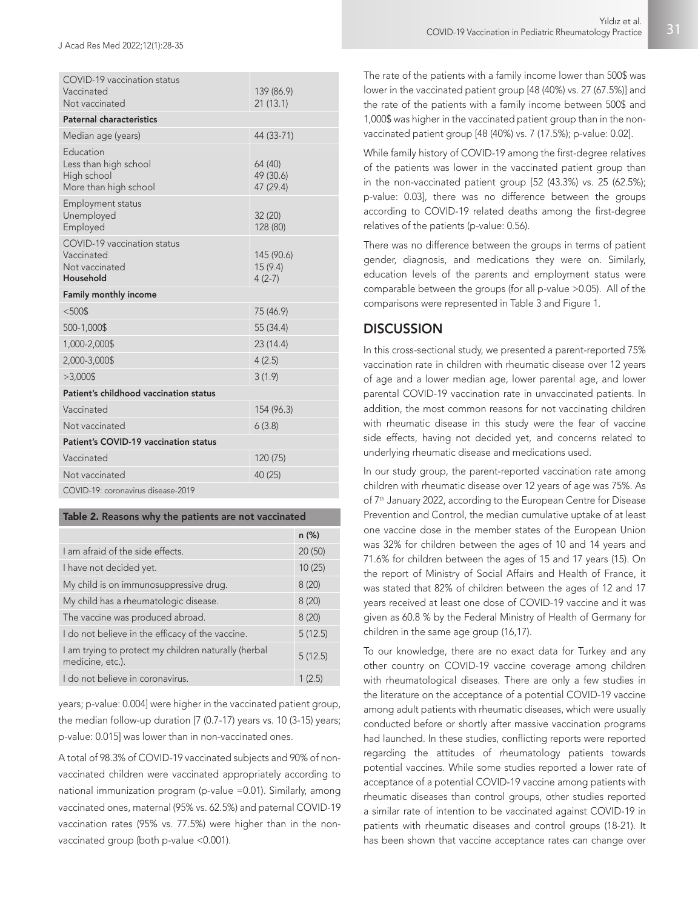| COVID-19 vaccination status<br>Vaccinated<br>Not vaccinated                | 139 (86.9)<br>21(13.1)            |  |  |
|----------------------------------------------------------------------------|-----------------------------------|--|--|
| <b>Paternal characteristics</b>                                            |                                   |  |  |
| Median age (years)                                                         | 44 (33-71)                        |  |  |
| Education<br>Less than high school<br>High school<br>More than high school | 64 (40)<br>49 (30.6)<br>47 (29.4) |  |  |
| Employment status<br>Unemployed<br>Employed                                | 32 (20)<br>128 (80)               |  |  |
| COVID-19 vaccination status<br>Vaccinated<br>Not vaccinated<br>Household   | 145 (90.6)<br>15(9.4)<br>$4(2-7)$ |  |  |
| <b>Family monthly income</b>                                               |                                   |  |  |
| $< 500$ \$                                                                 | 75 (46.9)                         |  |  |
| 500-1,000\$                                                                | 55 (34.4)                         |  |  |
| 1,000-2,000\$                                                              | 23 (14.4)                         |  |  |
| 2,000-3,000\$                                                              | 4(2.5)                            |  |  |
| $>3,000$ \$                                                                | 3(1.9)                            |  |  |
| Patient's childhood vaccination status                                     |                                   |  |  |
| Vaccinated                                                                 | 154 (96.3)                        |  |  |
|                                                                            |                                   |  |  |
| Not vaccinated                                                             | 6(3.8)                            |  |  |
| Patient's COVID-19 vaccination status                                      |                                   |  |  |
| Vaccinated                                                                 | 120 (75)                          |  |  |
| Not vaccinated                                                             | 40 (25)                           |  |  |

| Table 2. Reasons why the patients are not vaccinated |
|------------------------------------------------------|
|------------------------------------------------------|

|                                                                          | $n$ (%) |
|--------------------------------------------------------------------------|---------|
| Lam afraid of the side effects.                                          | 20(50)  |
| I have not decided yet.                                                  | 10(25)  |
| My child is on immunosuppressive drug.                                   | 8(20)   |
| My child has a rheumatologic disease.                                    | 8(20)   |
| The vaccine was produced abroad.                                         | 8(20)   |
| I do not believe in the efficacy of the vaccine.                         | 5(12.5) |
| I am trying to protect my children naturally (herbal<br>medicine, etc.). | 5(12.5) |
| I do not believe in coronavirus.                                         | 1(2.5)  |

years; p-value: 0.004] were higher in the vaccinated patient group, the median follow-up duration [7 (0.7-17) years vs. 10 (3-15) years; p-value: 0.015] was lower than in non-vaccinated ones.

A total of 98.3% of COVID-19 vaccinated subjects and 90% of nonvaccinated children were vaccinated appropriately according to national immunization program (p-value =0.01). Similarly, among vaccinated ones, maternal (95% vs. 62.5%) and paternal COVID-19 vaccination rates (95% vs. 77.5%) were higher than in the nonvaccinated group (both p-value <0.001).

The rate of the patients with a family income lower than 500\$ was lower in the vaccinated patient group [48 (40%) vs. 27 (67.5%)] and the rate of the patients with a family income between 500\$ and 1,000\$ was higher in the vaccinated patient group than in the nonvaccinated patient group [48 (40%) vs. 7 (17.5%); p-value: 0.02].

While family history of COVID-19 among the first-degree relatives of the patients was lower in the vaccinated patient group than in the non-vaccinated patient group [52 (43.3%) vs. 25 (62.5%); p-value: 0.03], there was no difference between the groups according to COVID-19 related deaths among the first-degree relatives of the patients (p-value: 0.56).

There was no difference between the groups in terms of patient gender, diagnosis, and medications they were on. Similarly, education levels of the parents and employment status were comparable between the groups (for all p-value >0.05). All of the comparisons were represented in Table 3 and Figure 1.

## **DISCUSSION**

In this cross-sectional study, we presented a parent-reported 75% vaccination rate in children with rheumatic disease over 12 years of age and a lower median age, lower parental age, and lower parental COVID-19 vaccination rate in unvaccinated patients. In addition, the most common reasons for not vaccinating children with rheumatic disease in this study were the fear of vaccine side effects, having not decided yet, and concerns related to underlying rheumatic disease and medications used.

In our study group, the parent-reported vaccination rate among children with rheumatic disease over 12 years of age was 75%. As of 7<sup>th</sup> January 2022, according to the European Centre for Disease Prevention and Control, the median cumulative uptake of at least one vaccine dose in the member states of the European Union was 32% for children between the ages of 10 and 14 years and 71.6% for children between the ages of 15 and 17 years (15). On the report of Ministry of Social Affairs and Health of France, it was stated that 82% of children between the ages of 12 and 17 years received at least one dose of COVID-19 vaccine and it was given as 60.8 % by the Federal Ministry of Health of Germany for children in the same age group (16,17).

To our knowledge, there are no exact data for Turkey and any other country on COVID-19 vaccine coverage among children with rheumatological diseases. There are only a few studies in the literature on the acceptance of a potential COVID-19 vaccine among adult patients with rheumatic diseases, which were usually conducted before or shortly after massive vaccination programs had launched. In these studies, conflicting reports were reported regarding the attitudes of rheumatology patients towards potential vaccines. While some studies reported a lower rate of acceptance of a potential COVID-19 vaccine among patients with rheumatic diseases than control groups, other studies reported a similar rate of intention to be vaccinated against COVID-19 in patients with rheumatic diseases and control groups (18-21). It has been shown that vaccine acceptance rates can change over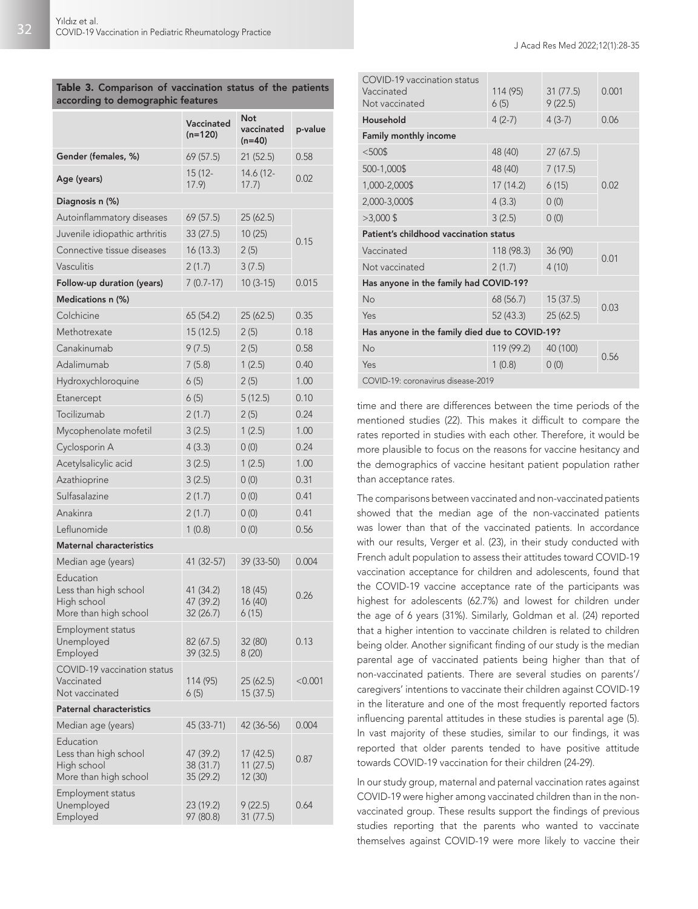### Table 3. Comparison of vaccination status of the patients according to demographic features

|                                                                            | Vaccinated<br>$(n=120)$             | Not<br>vaccinated<br>$(n=40)$     | p-value   |
|----------------------------------------------------------------------------|-------------------------------------|-----------------------------------|-----------|
| Gender (females, %)                                                        | 69(57.5)                            | 21(52.5)                          | 0.58      |
| Age (years)                                                                | 15 (12-<br>17.9                     | 14.6 (12-<br>17.7)                | 0.02      |
| Diagnosis n (%)                                                            |                                     |                                   |           |
| Autoinflammatory diseases                                                  | 69(57.5)                            | 25 (62.5)                         |           |
| Juvenile idiopathic arthritis                                              | 33(27.5)                            | 10(25)                            | 0.15      |
| Connective tissue diseases                                                 | 16(13.3)                            | 2(5)                              |           |
| Vasculitis                                                                 | 2(1.7)                              | 3(7.5)                            |           |
| Follow-up duration (years)                                                 | $7(0.7-17)$                         | $10(3-15)$                        | 0.015     |
| Medications n (%)                                                          |                                     |                                   |           |
| Colchicine                                                                 | 65 (54.2)                           | 25(62.5)                          | 0.35      |
| Methotrexate                                                               | 15 (12.5)                           | 2(5)                              | 0.18      |
| Canakinumab                                                                | 9(7.5)                              | 2(5)                              | 0.58      |
| Adalimumab                                                                 | 7(5.8)                              | 1(2.5)                            | 0.40      |
| Hydroxychloroquine                                                         | 6(5)                                | 2(5)                              | 1.00      |
| Etanercept                                                                 | 6(5)                                | 5(12.5)                           | 0.10      |
| Tocilizumab                                                                | 2(1.7)                              | 2(5)                              | 0.24      |
| Mycophenolate mofetil                                                      | 3(2.5)                              | 1(2.5)                            | 1.00      |
| Cyclosporin A                                                              | 4(3.3)                              | 0(0)                              | 0.24      |
| Acetylsalicylic acid                                                       | 3(2.5)                              | 1(2.5)                            | 1.00      |
| Azathioprine                                                               | 3(2.5)                              | 0(0)                              | 0.31      |
| Sulfasalazine                                                              | 2(1.7)                              | 0(0)                              | 0.41      |
| Anakinra                                                                   | 2(1.7)                              | 0(0)                              | 0.41      |
| Leflunomide                                                                | 1(0.8)                              | 0(0)                              | 0.56      |
| Maternal characteristics                                                   |                                     |                                   |           |
| Median age (years)                                                         | 41 (32-57)                          | 39 (33-50)                        | 0.004     |
| Education<br>Less than high school<br>High school<br>More than high school | 41 (34.2)<br>47 (39.2)<br>32 (26.7) | 18 (45)<br>16(40)<br>6(15)        | 0.26      |
| Employment status<br>Unemployed<br>Employed                                | 82 (67.5)<br>39 (32.5)              | 32 (80)<br>8(20)                  | 0.13      |
| COVID-19 vaccination status<br>Vaccinated<br>Not vaccinated                | 114 (95)<br>6(5)                    | 25 (62.5)<br>15 (37.5)            | $<$ 0.001 |
| <b>Paternal characteristics</b>                                            |                                     |                                   |           |
| Median age (years)                                                         | 45 (33-71)                          | 42 (36-56)                        | 0.004     |
| Education<br>Less than high school<br>High school<br>More than high school | 47 (39.2)<br>38(31.7)<br>35 (29.2)  | 17 (42.5)<br>11 (27.5)<br>12 (30) | 0.87      |
| Employment status<br>Unemployed<br>Employed                                | 23 (19.2)<br>97 (80.8)              | 9 (22.5)<br>31(77.5)              | 0.64      |

| COVID-19 vaccination status<br>Vaccinated<br>Not vaccinated | 114 (95)<br>6(5) | 31(77.5)<br>9(22.5) | 0.001 |  |
|-------------------------------------------------------------|------------------|---------------------|-------|--|
| Household                                                   | $4(2-7)$         | $4(3-7)$            | 0.06  |  |
| Family monthly income                                       |                  |                     |       |  |
| $<$ 500\$                                                   | 48 (40)          | 27(67.5)            | 0.02  |  |
| 500-1,000\$                                                 | 48 (40)          | 7(17.5)             |       |  |
| 1,000-2,000\$                                               | 17(14.2)         | 6(15)               |       |  |
| 2,000-3,000\$                                               | 4(3.3)           | 0(0)                |       |  |
| $>3,000$ \$                                                 | 3(2.5)           | 0(0)                |       |  |
| Patient's childhood vaccination status                      |                  |                     |       |  |
| Vaccinated                                                  | 118 (98.3)       | 36 (90)             | 0.01  |  |
| Not vaccinated                                              | 2(1.7)           | 4(10)               |       |  |
| Has anyone in the family had COVID-19?                      |                  |                     |       |  |
| No                                                          | 68 (56.7)        | 15(37.5)            | 0.03  |  |
| Yes                                                         | 52 (43.3)        | 25(62.5)            |       |  |
| Has anyone in the family died due to COVID-19?              |                  |                     |       |  |
| No                                                          | 119 (99.2)       | 40 (100)            | 0.56  |  |
| Yes                                                         | 1(0.8)           | 0(0)                |       |  |
| COVID-19: coronavirus disease-2019                          |                  |                     |       |  |

time and there are differences between the time periods of the mentioned studies (22). This makes it difficult to compare the rates reported in studies with each other. Therefore, it would be more plausible to focus on the reasons for vaccine hesitancy and the demographics of vaccine hesitant patient population rather than acceptance rates.

The comparisons between vaccinated and non-vaccinated patients showed that the median age of the non-vaccinated patients was lower than that of the vaccinated patients. In accordance with our results, Verger et al. (23), in their study conducted with French adult population to assess their attitudes toward COVID-19 vaccination acceptance for children and adolescents, found that the COVID-19 vaccine acceptance rate of the participants was highest for adolescents (62.7%) and lowest for children under the age of 6 years (31%). Similarly, Goldman et al. (24) reported that a higher intention to vaccinate children is related to children being older. Another significant finding of our study is the median parental age of vaccinated patients being higher than that of non-vaccinated patients. There are several studies on parents'/ caregivers' intentions to vaccinate their children against COVID-19 in the literature and one of the most frequently reported factors influencing parental attitudes in these studies is parental age (5). In vast majority of these studies, similar to our findings, it was reported that older parents tended to have positive attitude towards COVID-19 vaccination for their children (24-29).

In our study group, maternal and paternal vaccination rates against COVID-19 were higher among vaccinated children than in the nonvaccinated group. These results support the findings of previous studies reporting that the parents who wanted to vaccinate themselves against COVID-19 were more likely to vaccine their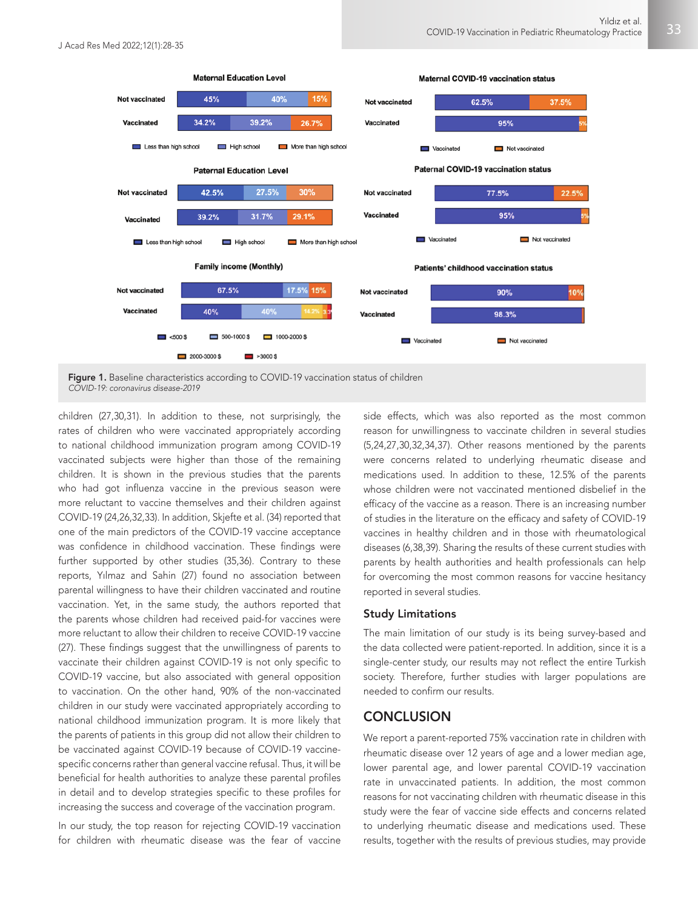

children (27,30,31). In addition to these, not surprisingly, the rates of children who were vaccinated appropriately according to national childhood immunization program among COVID-19 vaccinated subjects were higher than those of the remaining children. It is shown in the previous studies that the parents who had got influenza vaccine in the previous season were more reluctant to vaccine themselves and their children against COVID-19 (24,26,32,33). In addition, Skjefte et al. (34) reported that one of the main predictors of the COVID-19 vaccine acceptance was confidence in childhood vaccination. These findings were further supported by other studies (35,36). Contrary to these reports, Yılmaz and Sahin (27) found no association between parental willingness to have their children vaccinated and routine vaccination. Yet, in the same study, the authors reported that the parents whose children had received paid-for vaccines were more reluctant to allow their children to receive COVID-19 vaccine (27). These findings suggest that the unwillingness of parents to vaccinate their children against COVID-19 is not only specific to COVID-19 vaccine, but also associated with general opposition to vaccination. On the other hand, 90% of the non-vaccinated children in our study were vaccinated appropriately according to national childhood immunization program. It is more likely that the parents of patients in this group did not allow their children to be vaccinated against COVID-19 because of COVID-19 vaccinespecific concerns rather than general vaccine refusal. Thus, it will be beneficial for health authorities to analyze these parental profiles in detail and to develop strategies specific to these profiles for increasing the success and coverage of the vaccination program.

In our study, the top reason for rejecting COVID-19 vaccination for children with rheumatic disease was the fear of vaccine side effects, which was also reported as the most common reason for unwillingness to vaccinate children in several studies (5,24,27,30,32,34,37). Other reasons mentioned by the parents were concerns related to underlying rheumatic disease and medications used. In addition to these, 12.5% of the parents whose children were not vaccinated mentioned disbelief in the efficacy of the vaccine as a reason. There is an increasing number of studies in the literature on the efficacy and safety of COVID-19 vaccines in healthy children and in those with rheumatological diseases (6,38,39). Sharing the results of these current studies with parents by health authorities and health professionals can help for overcoming the most common reasons for vaccine hesitancy reported in several studies.

#### Study Limitations

The main limitation of our study is its being survey-based and the data collected were patient-reported. In addition, since it is a single-center study, our results may not reflect the entire Turkish society. Therefore, further studies with larger populations are needed to confirm our results.

## **CONCLUSION**

We report a parent-reported 75% vaccination rate in children with rheumatic disease over 12 years of age and a lower median age, lower parental age, and lower parental COVID-19 vaccination rate in unvaccinated patients. In addition, the most common reasons for not vaccinating children with rheumatic disease in this study were the fear of vaccine side effects and concerns related to underlying rheumatic disease and medications used. These results, together with the results of previous studies, may provide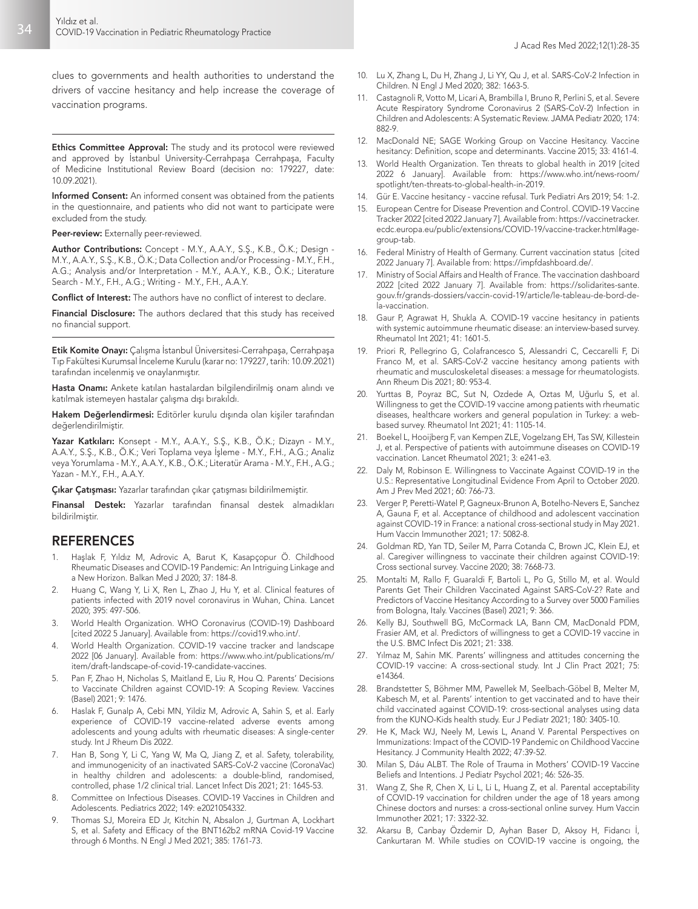clues to governments and health authorities to understand the drivers of vaccine hesitancy and help increase the coverage of vaccination programs.

Ethics Committee Approval: The study and its protocol were reviewed and approved by İstanbul University-Cerrahpaşa Cerrahpaşa, Faculty of Medicine Institutional Review Board (decision no: 179227, date: 10.09.2021).

Informed Consent: An informed consent was obtained from the patients in the questionnaire, and patients who did not want to participate were excluded from the study.

Peer-review: Externally peer-reviewed.

Author Contributions: Concept - M.Y., A.A.Y., S.Ş., K.B., Ö.K.; Design - M.Y., A.A.Y., S.Ş., K.B., Ö.K.; Data Collection and/or Processing - M.Y., F.H., A.G.; Analysis and/or Interpretation - M.Y., A.A.Y., K.B., Ö.K.; Literature Search - M.Y., F.H., A.G.; Writing - M.Y., F.H., A.A.Y.

Conflict of Interest: The authors have no conflict of interest to declare.

Financial Disclosure: The authors declared that this study has received no financial support.

Etik Komite Onayı: Çalışma İstanbul Üniversitesi-Cerrahpaşa, Cerrahpaşa Tıp Fakültesi Kurumsal İnceleme Kurulu (karar no: 179227, tarih: 10.09.2021) tarafından incelenmiş ve onaylanmıştır.

Hasta Onamı: Ankete katılan hastalardan bilgilendirilmiş onam alındı ve katılmak istemeyen hastalar çalışma dışı bırakıldı.

Hakem Değerlendirmesi: Editörler kurulu dışında olan kişiler tarafından değerlendirilmiştir.

Yazar Katkıları: Konsept - M.Y., A.A.Y., S.Ş., K.B., Ö.K.; Dizayn - M.Y., A.A.Y., S.Ş., K.B., Ö.K.; Veri Toplama veya İşleme - M.Y., F.H., A.G.; Analiz veya Yorumlama - M.Y., A.A.Y., K.B., Ö.K.; Literatür Arama - M.Y., F.H., A.G.; Yazan - M.Y., F.H., A.A.Y.

Çıkar Çatışması: Yazarlar tarafından çıkar çatışması bildirilmemiştir.

Finansal Destek: Yazarlar tarafından finansal destek almadıkları bildirilmiştir.

## **REFERENCES**

- 1. Haşlak F, Yıldız M, Adrovic A, Barut K, Kasapçopur Ö. Childhood Rheumatic Diseases and COVID-19 Pandemic: An Intriguing Linkage and a New Horizon. Balkan Med J 2020; 37: 184-8.
- 2. Huang C, Wang Y, Li X, Ren L, Zhao J, Hu Y, et al. Clinical features of patients infected with 2019 novel coronavirus in Wuhan, China. Lancet 2020; 395: 497-506.
- 3. World Health Organization. WHO Coronavirus (COVID-19) Dashboard [cited 2022 5 January]. Available from: https://covid19.who.int/.
- 4. World Health Organization. COVID-19 vaccine tracker and landscape 2022 [06 January]. Available from: https://www.who.int/publications/m/ item/draft-landscape-of-covid-19-candidate-vaccines.
- 5. Pan F, Zhao H, Nicholas S, Maitland E, Liu R, Hou Q. Parents' Decisions to Vaccinate Children against COVID-19: A Scoping Review. Vaccines (Basel) 2021; 9: 1476.
- 6. Haslak F, Gunalp A, Cebi MN, Yildiz M, Adrovic A, Sahin S, et al. Early experience of COVID-19 vaccine-related adverse events among adolescents and young adults with rheumatic diseases: A single-center study. Int J Rheum Dis 2022.
- 7. Han B, Song Y, Li C, Yang W, Ma Q, Jiang Z, et al. Safety, tolerability, and immunogenicity of an inactivated SARS-CoV-2 vaccine (CoronaVac) in healthy children and adolescents: a double-blind, randomised, controlled, phase 1/2 clinical trial. Lancet Infect Dis 2021; 21: 1645-53.
- 8. Committee on Infectious Diseases. COVID-19 Vaccines in Children and Adolescents. Pediatrics 2022; 149: e2021054332.
- 9. Thomas SJ, Moreira ED Jr, Kitchin N, Absalon J, Gurtman A, Lockhart S, et al. Safety and Efficacy of the BNT162b2 mRNA Covid-19 Vaccine through 6 Months. N Engl J Med 2021; 385: 1761-73.
- 10. Lu X, Zhang L, Du H, Zhang J, Li YY, Qu J, et al. SARS-CoV-2 Infection in Children. N Engl J Med 2020; 382: 1663-5.
- 11. Castagnoli R, Votto M, Licari A, Brambilla I, Bruno R, Perlini S, et al. Severe Acute Respiratory Syndrome Coronavirus 2 (SARS-CoV-2) Infection in Children and Adolescents: A Systematic Review. JAMA Pediatr 2020; 174: 882-9.
- 12. MacDonald NE; SAGE Working Group on Vaccine Hesitancy. Vaccine hesitancy: Definition, scope and determinants. Vaccine 2015; 33: 4161-4.
- 13. World Health Organization. Ten threats to global health in 2019 [cited 2022 6 January]. Available from: https://www.who.int/news-room/ spotlight/ten-threats-to-global-health-in-2019.
- 14. Gür E. Vaccine hesitancy vaccine refusal. Turk Pediatri Ars 2019; 54: 1-2.
- 15. European Centre for Disease Prevention and Control. COVID-19 Vaccine Tracker 2022 [cited 2022 January 7]. Available from: https://vaccinetracker. ecdc.europa.eu/public/extensions/COVID-19/vaccine-tracker.html#agegroup-tab.
- 16. Federal Ministry of Health of Germany. Current vaccination status [cited 2022 January 7]. Available from: https://impfdashboard.de/.
- 17. Ministry of Social Affairs and Health of France. The vaccination dashboard 2022 [cited 2022 January 7]. Available from: https://solidarites-sante. gouv.fr/grands-dossiers/vaccin-covid-19/article/le-tableau-de-bord-dela-vaccination.
- 18. Gaur P, Agrawat H, Shukla A. COVID-19 vaccine hesitancy in patients with systemic autoimmune rheumatic disease: an interview-based survey. Rheumatol Int 2021; 41: 1601-5.
- 19. Priori R, Pellegrino G, Colafrancesco S, Alessandri C, Ceccarelli F, Di Franco M, et al. SARS-CoV-2 vaccine hesitancy among patients with rheumatic and musculoskeletal diseases: a message for rheumatologists. Ann Rheum Dis 2021; 80: 953-4.
- 20. Yurttas B, Poyraz BC, Sut N, Ozdede A, Oztas M, Uğurlu S, et al. Willingness to get the COVID-19 vaccine among patients with rheumatic diseases, healthcare workers and general population in Turkey: a webbased survey. Rheumatol Int 2021; 41: 1105-14.
- 21. Boekel L, Hooijberg F, van Kempen ZLE, Vogelzang EH, Tas SW, Killestein J, et al. Perspective of patients with autoimmune diseases on COVID-19 vaccination. Lancet Rheumatol 2021; 3: e241-e3.
- Daly M, Robinson E. Willingness to Vaccinate Against COVID-19 in the U.S.: Representative Longitudinal Evidence From April to October 2020. Am J Prev Med 2021; 60: 766-73.
- 23. Verger P, Peretti-Watel P, Gagneux-Brunon A, Botelho-Nevers E, Sanchez A, Gauna F, et al. Acceptance of childhood and adolescent vaccination against COVID-19 in France: a national cross-sectional study in May 2021. Hum Vaccin Immunother 2021; 17: 5082-8.
- 24. Goldman RD, Yan TD, Seiler M, Parra Cotanda C, Brown JC, Klein EJ, et al. Caregiver willingness to vaccinate their children against COVID-19: Cross sectional survey. Vaccine 2020; 38: 7668-73.
- 25. Montalti M, Rallo F, Guaraldi F, Bartoli L, Po G, Stillo M, et al. Would Parents Get Their Children Vaccinated Against SARS-CoV-2? Rate and Predictors of Vaccine Hesitancy According to a Survey over 5000 Families from Bologna, Italy. Vaccines (Basel) 2021; 9: 366.
- 26. Kelly BJ, Southwell BG, McCormack LA, Bann CM, MacDonald PDM, Frasier AM, et al. Predictors of willingness to get a COVID-19 vaccine in the U.S. BMC Infect Dis 2021; 21: 338.
- 27. Yılmaz M, Sahin MK. Parents' willingness and attitudes concerning the COVID-19 vaccine: A cross-sectional study. Int J Clin Pract 2021; 75: e14364.
- 28. Brandstetter S, Böhmer MM, Pawellek M, Seelbach-Göbel B, Melter M, Kabesch M, et al. Parents' intention to get vaccinated and to have their child vaccinated against COVID-19: cross-sectional analyses using data from the KUNO-Kids health study. Eur J Pediatr 2021; 180: 3405-10.
- 29. He K, Mack WJ, Neely M, Lewis L, Anand V. Parental Perspectives on Immunizations: Impact of the COVID-19 Pandemic on Childhood Vaccine Hesitancy. J Community Health 2022; 47:39-52.
- 30. Milan S, Dáu ALBT. The Role of Trauma in Mothers' COVID-19 Vaccine Beliefs and Intentions. J Pediatr Psychol 2021; 46: 526-35.
- 31. Wang Z, She R, Chen X, Li L, Li L, Huang Z, et al. Parental acceptability of COVID-19 vaccination for children under the age of 18 years among Chinese doctors and nurses: a cross-sectional online survey. Hum Vaccin Immunother 2021; 17: 3322-32.
- 32. Akarsu B, Canbay Özdemir D, Ayhan Baser D, Aksoy H, Fidancı İ, Cankurtaran M. While studies on COVID-19 vaccine is ongoing, the